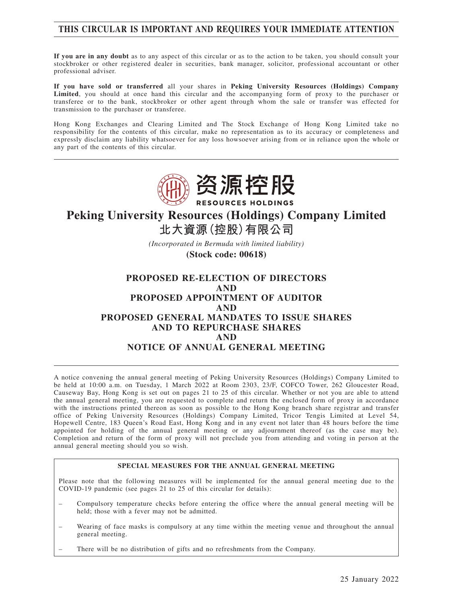## **THIS CIRCULAR IS IMPORTANT AND REQUIRES YOUR IMMEDIATE ATTENTION**

**If you are in any doubt** as to any aspect of this circular or as to the action to be taken, you should consult your stockbroker or other registered dealer in securities, bank manager, solicitor, professional accountant or other professional adviser.

**If you have sold or transferred** all your shares in **Peking University Resources (Holdings) Company Limited**, you should at once hand this circular and the accompanying form of proxy to the purchaser or transferee or to the bank, stockbroker or other agent through whom the sale or transfer was effected for transmission to the purchaser or transferee.

Hong Kong Exchanges and Clearing Limited and The Stock Exchange of Hong Kong Limited take no responsibility for the contents of this circular, make no representation as to its accuracy or completeness and expressly disclaim any liability whatsoever for any loss howsoever arising from or in reliance upon the whole or any part of the contents of this circular.



# **Peking University Resources (Holdings) Company Limited 北大資源(控股)有限公司**

*(Incorporated in Bermuda with limited liability)*

**(Stock code: 00618)**

## **PROPOSED RE-ELECTION OF DIRECTORS AND PROPOSED APPOINTMENT OF AUDITOR AND PROPOSED GENERAL MANDATES TO ISSUE SHARES AND TO REPURCHASE SHARES AND NOTICE OF ANNUAL GENERAL MEETING**

A notice convening the annual general meeting of Peking University Resources (Holdings) Company Limited to be held at 10:00 a.m. on Tuesday, 1 March 2022 at Room 2303, 23/F, COFCO Tower, 262 Gloucester Road, Causeway Bay, Hong Kong is set out on pages 21 to 25 of this circular. Whether or not you are able to attend the annual general meeting, you are requested to complete and return the enclosed form of proxy in accordance with the instructions printed thereon as soon as possible to the Hong Kong branch share registrar and transfer office of Peking University Resources (Holdings) Company Limited, Tricor Tengis Limited at Level 54, Hopewell Centre, 183 Queen's Road East, Hong Kong and in any event not later than 48 hours before the time appointed for holding of the annual general meeting or any adjournment thereof (as the case may be). Completion and return of the form of proxy will not preclude you from attending and voting in person at the annual general meeting should you so wish.

### **SPECIAL MEASURES FOR THE ANNUAL GENERAL MEETING**

Please note that the following measures will be implemented for the annual general meeting due to the COVID-19 pandemic (see pages 21 to 25 of this circular for details):

- Compulsory temperature checks before entering the office where the annual general meeting will be held; those with a fever may not be admitted.
- Wearing of face masks is compulsory at any time within the meeting venue and throughout the annual general meeting.
- There will be no distribution of gifts and no refreshments from the Company.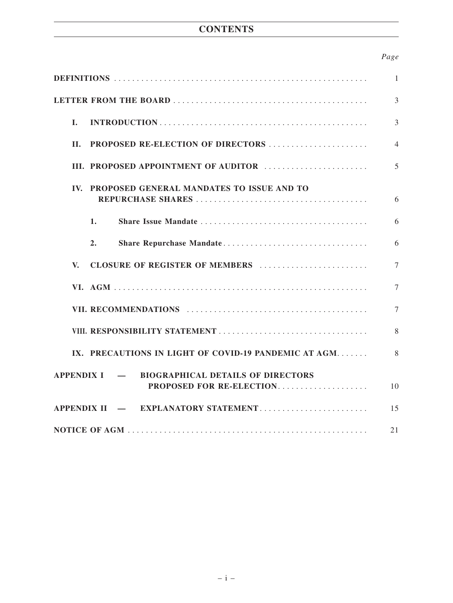# **CONTENTS**

## *Page*

|                                                                            | $\mathbf{1}$   |
|----------------------------------------------------------------------------|----------------|
|                                                                            | 3              |
| $\mathbf{I}$ .                                                             | 3              |
| <b>PROPOSED RE-ELECTION OF DIRECTORS</b><br>H.                             | $\overline{4}$ |
| III. PROPOSED APPOINTMENT OF AUDITOR                                       | 5              |
| IV. PROPOSED GENERAL MANDATES TO ISSUE AND TO                              | 6              |
| 1.                                                                         | 6              |
| Share Repurchase Mandate<br>2.                                             | 6              |
| CLOSURE OF REGISTER OF MEMBERS<br>V.                                       | $\overline{7}$ |
|                                                                            | 7              |
|                                                                            | $\tau$         |
|                                                                            | 8              |
| IX. PRECAUTIONS IN LIGHT OF COVID-19 PANDEMIC AT AGM                       | 8              |
| APPENDIX I – BIOGRAPHICAL DETAILS OF DIRECTORS<br>PROPOSED FOR RE-ELECTION | 10             |
| APPENDIX II - EXPLANATORY STATEMENT                                        | 15             |
|                                                                            | 21             |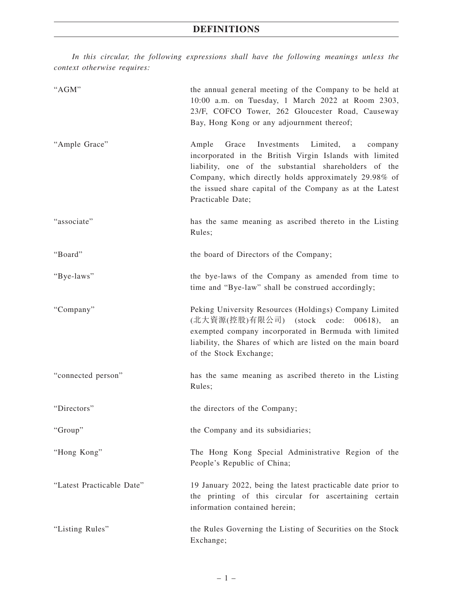*In this circular, the following expressions shall have the following meanings unless the context otherwise requires:*

| "AGM"                     | the annual general meeting of the Company to be held at<br>10:00 a.m. on Tuesday, 1 March 2022 at Room 2303,<br>23/F, COFCO Tower, 262 Gloucester Road, Causeway<br>Bay, Hong Kong or any adjournment thereof;                                                                                                       |
|---------------------------|----------------------------------------------------------------------------------------------------------------------------------------------------------------------------------------------------------------------------------------------------------------------------------------------------------------------|
| "Ample Grace"             | Grace<br>Investments Limited,<br>Ample<br>company<br>a<br>incorporated in the British Virgin Islands with limited<br>liability, one of the substantial shareholders of the<br>Company, which directly holds approximately 29.98% of<br>the issued share capital of the Company as at the Latest<br>Practicable Date; |
| "associate"               | has the same meaning as ascribed thereto in the Listing<br>Rules;                                                                                                                                                                                                                                                    |
| "Board"                   | the board of Directors of the Company;                                                                                                                                                                                                                                                                               |
| "Bye-laws"                | the bye-laws of the Company as amended from time to<br>time and "Bye-law" shall be construed accordingly;                                                                                                                                                                                                            |
| "Company"                 | Peking University Resources (Holdings) Company Limited<br>(北大資源(控股)有限公司) (stock code:<br>00618,<br>an<br>exempted company incorporated in Bermuda with limited<br>liability, the Shares of which are listed on the main board<br>of the Stock Exchange;                                                              |
| "connected person"        | has the same meaning as ascribed thereto in the Listing<br>Rules;                                                                                                                                                                                                                                                    |
| "Directors"               | the directors of the Company;                                                                                                                                                                                                                                                                                        |
| "Group"                   | the Company and its subsidiaries;                                                                                                                                                                                                                                                                                    |
| "Hong Kong"               | The Hong Kong Special Administrative Region of the<br>People's Republic of China;                                                                                                                                                                                                                                    |
| "Latest Practicable Date" | 19 January 2022, being the latest practicable date prior to<br>the printing of this circular for ascertaining certain<br>information contained herein;                                                                                                                                                               |
| "Listing Rules"           | the Rules Governing the Listing of Securities on the Stock<br>Exchange;                                                                                                                                                                                                                                              |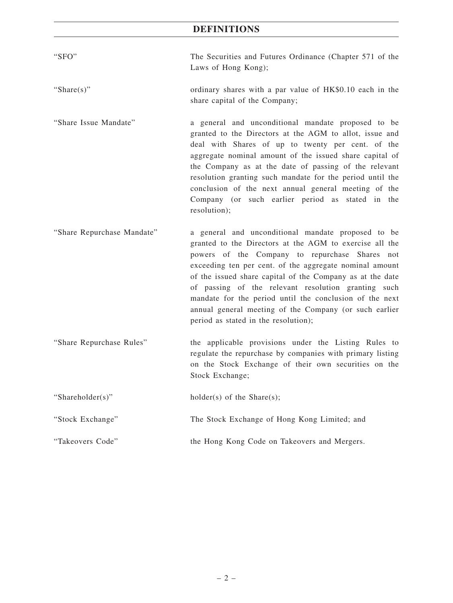# **DEFINITIONS**

| "SFO"                      | The Securities and Futures Ordinance (Chapter 571 of the<br>Laws of Hong Kong);                                                                                                                                                                                                                                                                                                                                                                                                                             |
|----------------------------|-------------------------------------------------------------------------------------------------------------------------------------------------------------------------------------------------------------------------------------------------------------------------------------------------------------------------------------------------------------------------------------------------------------------------------------------------------------------------------------------------------------|
| "Share $(s)$ "             | ordinary shares with a par value of HK\$0.10 each in the<br>share capital of the Company;                                                                                                                                                                                                                                                                                                                                                                                                                   |
| "Share Issue Mandate"      | a general and unconditional mandate proposed to be<br>granted to the Directors at the AGM to allot, issue and<br>deal with Shares of up to twenty per cent. of the<br>aggregate nominal amount of the issued share capital of<br>the Company as at the date of passing of the relevant<br>resolution granting such mandate for the period until the<br>conclusion of the next annual general meeting of the<br>Company (or such earlier period as stated in the<br>resolution);                             |
| "Share Repurchase Mandate" | a general and unconditional mandate proposed to be<br>granted to the Directors at the AGM to exercise all the<br>powers of the Company to repurchase Shares not<br>exceeding ten per cent. of the aggregate nominal amount<br>of the issued share capital of the Company as at the date<br>of passing of the relevant resolution granting such<br>mandate for the period until the conclusion of the next<br>annual general meeting of the Company (or such earlier<br>period as stated in the resolution); |
| "Share Repurchase Rules"   | the applicable provisions under the Listing Rules to<br>regulate the repurchase by companies with primary listing<br>on the Stock Exchange of their own securities on the<br>Stock Exchange;                                                                                                                                                                                                                                                                                                                |
| "Shareholder(s)"           | $holder(s)$ of the Share $(s)$ ;                                                                                                                                                                                                                                                                                                                                                                                                                                                                            |
| "Stock Exchange"           | The Stock Exchange of Hong Kong Limited; and                                                                                                                                                                                                                                                                                                                                                                                                                                                                |
| "Takeovers Code"           | the Hong Kong Code on Takeovers and Mergers.                                                                                                                                                                                                                                                                                                                                                                                                                                                                |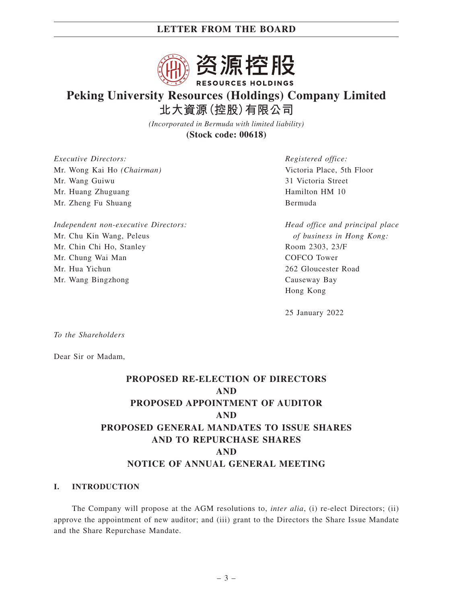

# **Peking University Resources (Holdings) Company Limited 北大資源(控股)有限公司**

*(Incorporated in Bermuda with limited liability)* **(Stock code: 00618)**

*Executive Directors:* Mr. Wong Kai Ho *(Chairman)* Mr. Wang Guiwu Mr. Huang Zhuguang Mr. Zheng Fu Shuang

*Independent non-executive Directors:* Mr. Chu Kin Wang, Peleus Mr. Chin Chi Ho, Stanley Mr. Chung Wai Man Mr. Hua Yichun Mr. Wang Bingzhong

*Registered office:* Victoria Place, 5th Floor 31 Victoria Street Hamilton HM 10 Bermuda

*Head office and principal place of business in Hong Kong:* Room 2303, 23/F COFCO Tower 262 Gloucester Road Causeway Bay Hong Kong

25 January 2022

*To the Shareholders*

Dear Sir or Madam,

# **PROPOSED RE-ELECTION OF DIRECTORS AND PROPOSED APPOINTMENT OF AUDITOR AND PROPOSED GENERAL MANDATES TO ISSUE SHARES AND TO REPURCHASE SHARES AND NOTICE OF ANNUAL GENERAL MEETING**

### **I. INTRODUCTION**

The Company will propose at the AGM resolutions to, *inter alia*, (i) re-elect Directors; (ii) approve the appointment of new auditor; and (iii) grant to the Directors the Share Issue Mandate and the Share Repurchase Mandate.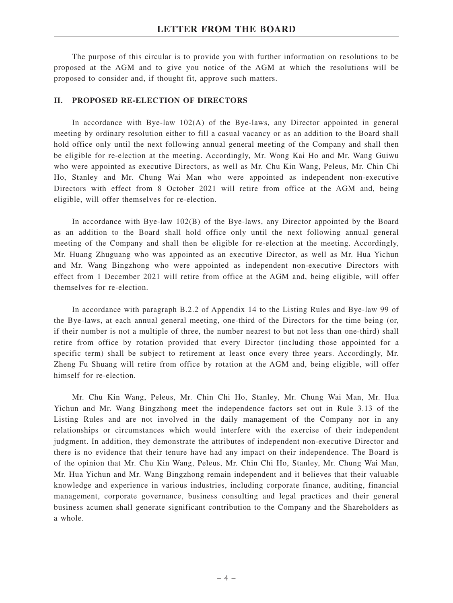The purpose of this circular is to provide you with further information on resolutions to be proposed at the AGM and to give you notice of the AGM at which the resolutions will be proposed to consider and, if thought fit, approve such matters.

### **II. PROPOSED RE-ELECTION OF DIRECTORS**

In accordance with Bye-law 102(A) of the Bye-laws, any Director appointed in general meeting by ordinary resolution either to fill a casual vacancy or as an addition to the Board shall hold office only until the next following annual general meeting of the Company and shall then be eligible for re-election at the meeting. Accordingly, Mr. Wong Kai Ho and Mr. Wang Guiwu who were appointed as executive Directors, as well as Mr. Chu Kin Wang, Peleus, Mr. Chin Chi Ho, Stanley and Mr. Chung Wai Man who were appointed as independent non-executive Directors with effect from 8 October 2021 will retire from office at the AGM and, being eligible, will offer themselves for re-election.

In accordance with Bye-law 102(B) of the Bye-laws, any Director appointed by the Board as an addition to the Board shall hold office only until the next following annual general meeting of the Company and shall then be eligible for re-election at the meeting. Accordingly, Mr. Huang Zhuguang who was appointed as an executive Director, as well as Mr. Hua Yichun and Mr. Wang Bingzhong who were appointed as independent non-executive Directors with effect from 1 December 2021 will retire from office at the AGM and, being eligible, will offer themselves for re-election.

In accordance with paragraph B.2.2 of Appendix 14 to the Listing Rules and Bye-law 99 of the Bye-laws, at each annual general meeting, one-third of the Directors for the time being (or, if their number is not a multiple of three, the number nearest to but not less than one-third) shall retire from office by rotation provided that every Director (including those appointed for a specific term) shall be subject to retirement at least once every three years. Accordingly, Mr. Zheng Fu Shuang will retire from office by rotation at the AGM and, being eligible, will offer himself for re-election.

Mr. Chu Kin Wang, Peleus, Mr. Chin Chi Ho, Stanley, Mr. Chung Wai Man, Mr. Hua Yichun and Mr. Wang Bingzhong meet the independence factors set out in Rule 3.13 of the Listing Rules and are not involved in the daily management of the Company nor in any relationships or circumstances which would interfere with the exercise of their independent judgment. In addition, they demonstrate the attributes of independent non-executive Director and there is no evidence that their tenure have had any impact on their independence. The Board is of the opinion that Mr. Chu Kin Wang, Peleus, Mr. Chin Chi Ho, Stanley, Mr. Chung Wai Man, Mr. Hua Yichun and Mr. Wang Bingzhong remain independent and it believes that their valuable knowledge and experience in various industries, including corporate finance, auditing, financial management, corporate governance, business consulting and legal practices and their general business acumen shall generate significant contribution to the Company and the Shareholders as a whole.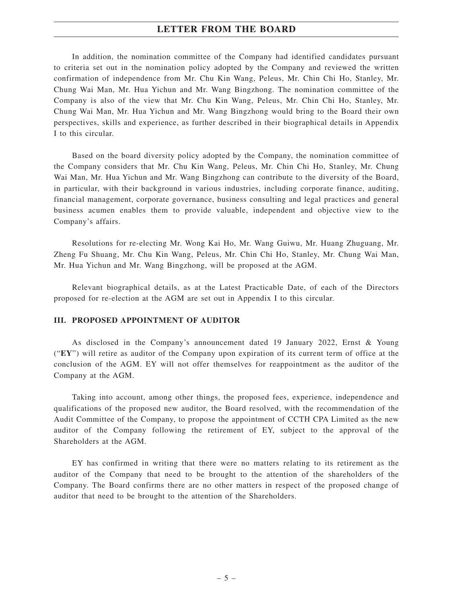In addition, the nomination committee of the Company had identified candidates pursuant to criteria set out in the nomination policy adopted by the Company and reviewed the written confirmation of independence from Mr. Chu Kin Wang, Peleus, Mr. Chin Chi Ho, Stanley, Mr. Chung Wai Man, Mr. Hua Yichun and Mr. Wang Bingzhong. The nomination committee of the Company is also of the view that Mr. Chu Kin Wang, Peleus, Mr. Chin Chi Ho, Stanley, Mr. Chung Wai Man, Mr. Hua Yichun and Mr. Wang Bingzhong would bring to the Board their own perspectives, skills and experience, as further described in their biographical details in Appendix I to this circular.

Based on the board diversity policy adopted by the Company, the nomination committee of the Company considers that Mr. Chu Kin Wang, Peleus, Mr. Chin Chi Ho, Stanley, Mr. Chung Wai Man, Mr. Hua Yichun and Mr. Wang Bingzhong can contribute to the diversity of the Board, in particular, with their background in various industries, including corporate finance, auditing, financial management, corporate governance, business consulting and legal practices and general business acumen enables them to provide valuable, independent and objective view to the Company's affairs.

Resolutions for re-electing Mr. Wong Kai Ho, Mr. Wang Guiwu, Mr. Huang Zhuguang, Mr. Zheng Fu Shuang, Mr. Chu Kin Wang, Peleus, Mr. Chin Chi Ho, Stanley, Mr. Chung Wai Man, Mr. Hua Yichun and Mr. Wang Bingzhong, will be proposed at the AGM.

Relevant biographical details, as at the Latest Practicable Date, of each of the Directors proposed for re-election at the AGM are set out in Appendix I to this circular.

### **III. PROPOSED APPOINTMENT OF AUDITOR**

As disclosed in the Company's announcement dated 19 January 2022, Ernst & Young ("**EY**") will retire as auditor of the Company upon expiration of its current term of office at the conclusion of the AGM. EY will not offer themselves for reappointment as the auditor of the Company at the AGM.

Taking into account, among other things, the proposed fees, experience, independence and qualifications of the proposed new auditor, the Board resolved, with the recommendation of the Audit Committee of the Company, to propose the appointment of CCTH CPA Limited as the new auditor of the Company following the retirement of EY, subject to the approval of the Shareholders at the AGM.

EY has confirmed in writing that there were no matters relating to its retirement as the auditor of the Company that need to be brought to the attention of the shareholders of the Company. The Board confirms there are no other matters in respect of the proposed change of auditor that need to be brought to the attention of the Shareholders.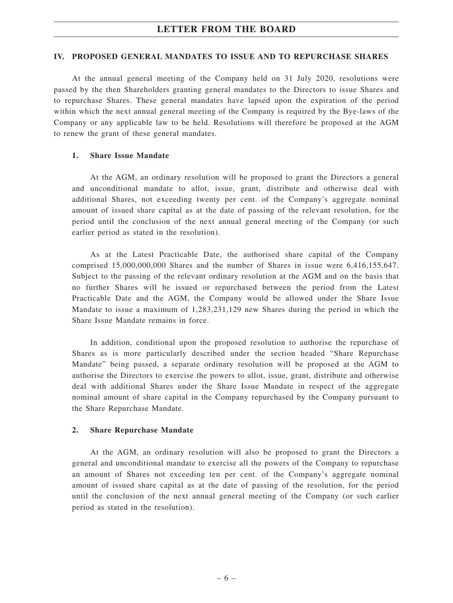### **IV. PROPOSED GENERAL MANDATES TO ISSUE AND TO REPURCHASE SHARES**

At the annual general meeting of the Company held on 31 July 2020, resolutions were passed by the then Shareholders granting general mandates to the Directors to issue Shares and to repurchase Shares. These general mandates have lapsed upon the expiration of the period within which the next annual general meeting of the Company is required by the Bye-laws of the Company or any applicable law to be held. Resolutions will therefore be proposed at the AGM to renew the grant of these general mandates.

### **1. Share Issue Mandate**

At the AGM, an ordinary resolution will be proposed to grant the Directors a general and unconditional mandate to allot, issue, grant, distribute and otherwise deal with additional Shares, not exceeding twenty per cent. of the Company's aggregate nominal amount of issued share capital as at the date of passing of the relevant resolution, for the period until the conclusion of the next annual general meeting of the Company (or such earlier period as stated in the resolution).

As at the Latest Practicable Date, the authorised share capital of the Company comprised 15,000,000,000 Shares and the number of Shares in issue were 6,416,155,647. Subject to the passing of the relevant ordinary resolution at the AGM and on the basis that no further Shares will be issued or repurchased between the period from the Latest Practicable Date and the AGM, the Company would be allowed under the Share Issue Mandate to issue a maximum of 1,283,231,129 new Shares during the period in which the Share Issue Mandate remains in force.

In addition, conditional upon the proposed resolution to authorise the repurchase of Shares as is more particularly described under the section headed "Share Repurchase Mandate" being passed, a separate ordinary resolution will be proposed at the AGM to authorise the Directors to exercise the powers to allot, issue, grant, distribute and otherwise deal with additional Shares under the Share Issue Mandate in respect of the aggregate nominal amount of share capital in the Company repurchased by the Company pursuant to the Share Repurchase Mandate.

### **2. Share Repurchase Mandate**

At the AGM, an ordinary resolution will also be proposed to grant the Directors a general and unconditional mandate to exercise all the powers of the Company to repurchase an amount of Shares not exceeding ten per cent. of the Company's aggregate nominal amount of issued share capital as at the date of passing of the resolution, for the period until the conclusion of the next annual general meeting of the Company (or such earlier period as stated in the resolution).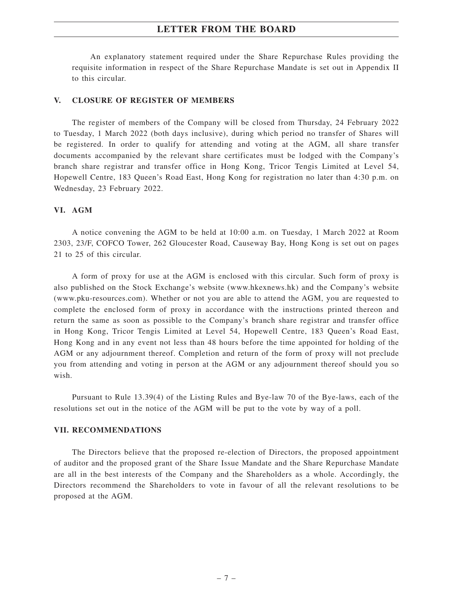An explanatory statement required under the Share Repurchase Rules providing the requisite information in respect of the Share Repurchase Mandate is set out in Appendix II to this circular.

### **V. CLOSURE OF REGISTER OF MEMBERS**

The register of members of the Company will be closed from Thursday, 24 February 2022 to Tuesday, 1 March 2022 (both days inclusive), during which period no transfer of Shares will be registered. In order to qualify for attending and voting at the AGM, all share transfer documents accompanied by the relevant share certificates must be lodged with the Company's branch share registrar and transfer office in Hong Kong, Tricor Tengis Limited at Level 54, Hopewell Centre, 183 Queen's Road East, Hong Kong for registration no later than 4:30 p.m. on Wednesday, 23 February 2022.

### **VI. AGM**

A notice convening the AGM to be held at 10:00 a.m. on Tuesday, 1 March 2022 at Room 2303, 23/F, COFCO Tower, 262 Gloucester Road, Causeway Bay, Hong Kong is set out on pages 21 to 25 of this circular.

A form of proxy for use at the AGM is enclosed with this circular. Such form of proxy is also published on the Stock Exchange's website (www.hkexnews.hk) and the Company's website (www.pku-resources.com). Whether or not you are able to attend the AGM, you are requested to complete the enclosed form of proxy in accordance with the instructions printed thereon and return the same as soon as possible to the Company's branch share registrar and transfer office in Hong Kong, Tricor Tengis Limited at Level 54, Hopewell Centre, 183 Queen's Road East, Hong Kong and in any event not less than 48 hours before the time appointed for holding of the AGM or any adjournment thereof. Completion and return of the form of proxy will not preclude you from attending and voting in person at the AGM or any adjournment thereof should you so wish.

Pursuant to Rule 13.39(4) of the Listing Rules and Bye-law 70 of the Bye-laws, each of the resolutions set out in the notice of the AGM will be put to the vote by way of a poll.

### **VII. RECOMMENDATIONS**

The Directors believe that the proposed re-election of Directors, the proposed appointment of auditor and the proposed grant of the Share Issue Mandate and the Share Repurchase Mandate are all in the best interests of the Company and the Shareholders as a whole. Accordingly, the Directors recommend the Shareholders to vote in favour of all the relevant resolutions to be proposed at the AGM.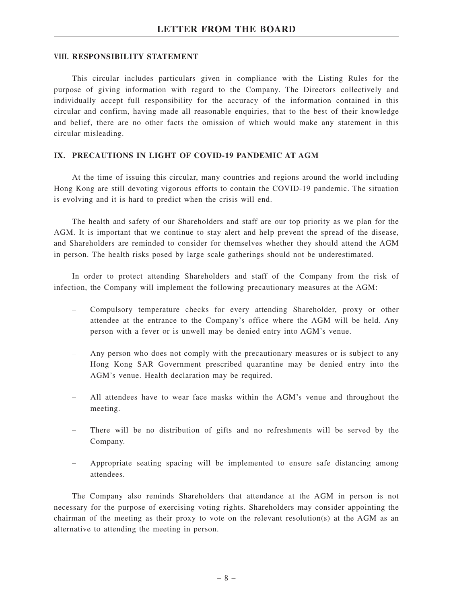### **VIII. RESPONSIBILITY STATEMENT**

This circular includes particulars given in compliance with the Listing Rules for the purpose of giving information with regard to the Company. The Directors collectively and individually accept full responsibility for the accuracy of the information contained in this circular and confirm, having made all reasonable enquiries, that to the best of their knowledge and belief, there are no other facts the omission of which would make any statement in this circular misleading.

### **IX. PRECAUTIONS IN LIGHT OF COVID-19 PANDEMIC AT AGM**

At the time of issuing this circular, many countries and regions around the world including Hong Kong are still devoting vigorous efforts to contain the COVID-19 pandemic. The situation is evolving and it is hard to predict when the crisis will end.

The health and safety of our Shareholders and staff are our top priority as we plan for the AGM. It is important that we continue to stay alert and help prevent the spread of the disease, and Shareholders are reminded to consider for themselves whether they should attend the AGM in person. The health risks posed by large scale gatherings should not be underestimated.

In order to protect attending Shareholders and staff of the Company from the risk of infection, the Company will implement the following precautionary measures at the AGM:

- Compulsory temperature checks for every attending Shareholder, proxy or other attendee at the entrance to the Company's office where the AGM will be held. Any person with a fever or is unwell may be denied entry into AGM's venue.
- Any person who does not comply with the precautionary measures or is subject to any Hong Kong SAR Government prescribed quarantine may be denied entry into the AGM's venue. Health declaration may be required.
- All attendees have to wear face masks within the AGM's venue and throughout the meeting.
- There will be no distribution of gifts and no refreshments will be served by the Company.
- Appropriate seating spacing will be implemented to ensure safe distancing among attendees.

The Company also reminds Shareholders that attendance at the AGM in person is not necessary for the purpose of exercising voting rights. Shareholders may consider appointing the chairman of the meeting as their proxy to vote on the relevant resolution(s) at the AGM as an alternative to attending the meeting in person.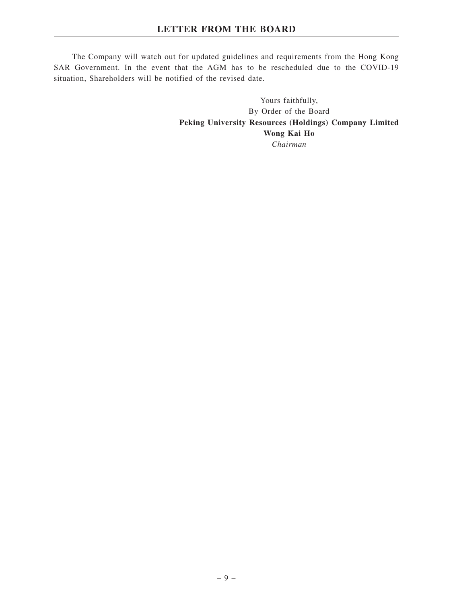The Company will watch out for updated guidelines and requirements from the Hong Kong SAR Government. In the event that the AGM has to be rescheduled due to the COVID-19 situation, Shareholders will be notified of the revised date.

> Yours faithfully, By Order of the Board **Peking University Resources (Holdings) Company Limited Wong Kai Ho** *Chairman*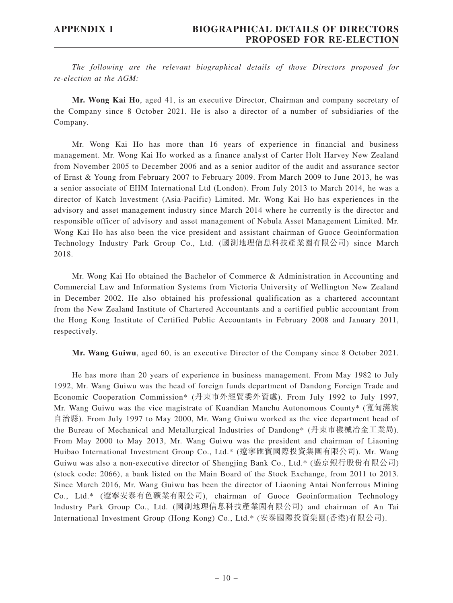*The following are the relevant biographical details of those Directors proposed for re-election at the AGM:*

**Mr. Wong Kai Ho**, aged 41, is an executive Director, Chairman and company secretary of the Company since 8 October 2021. He is also a director of a number of subsidiaries of the Company.

Mr. Wong Kai Ho has more than 16 years of experience in financial and business management. Mr. Wong Kai Ho worked as a finance analyst of Carter Holt Harvey New Zealand from November 2005 to December 2006 and as a senior auditor of the audit and assurance sector of Ernst & Young from February 2007 to February 2009. From March 2009 to June 2013, he was a senior associate of EHM International Ltd (London). From July 2013 to March 2014, he was a director of Katch Investment (Asia-Pacific) Limited. Mr. Wong Kai Ho has experiences in the advisory and asset management industry since March 2014 where he currently is the director and responsible officer of advisory and asset management of Nebula Asset Management Limited. Mr. Wong Kai Ho has also been the vice president and assistant chairman of Guoce Geoinformation Technology Industry Park Group Co., Ltd. (國測地理信息科技產業園有限公司) since March 2018.

Mr. Wong Kai Ho obtained the Bachelor of Commerce & Administration in Accounting and Commercial Law and Information Systems from Victoria University of Wellington New Zealand in December 2002. He also obtained his professional qualification as a chartered accountant from the New Zealand Institute of Chartered Accountants and a certified public accountant from the Hong Kong Institute of Certified Public Accountants in February 2008 and January 2011, respectively.

**Mr. Wang Guiwu**, aged 60, is an executive Director of the Company since 8 October 2021.

He has more than 20 years of experience in business management. From May 1982 to July 1992, Mr. Wang Guiwu was the head of foreign funds department of Dandong Foreign Trade and Economic Cooperation Commission\* (丹東市外經貿委外資處). From July 1992 to July 1997, Mr. Wang Guiwu was the vice magistrate of Kuandian Manchu Autonomous County\* (寬甸滿族 自治縣). From July 1997 to May 2000, Mr. Wang Guiwu worked as the vice department head of the Bureau of Mechanical and Metallurgical Industries of Dandong\* (丹東市機械冶金工業局). From May 2000 to May 2013, Mr. Wang Guiwu was the president and chairman of Liaoning Huibao International Investment Group Co., Ltd.\* (遼寧匯寶國際投資集團有限公司). Mr. Wang Guiwu was also a non-executive director of Shengjing Bank Co., Ltd.\* (盛京銀行股份有限公司) (stock code: 2066), a bank listed on the Main Board of the Stock Exchange, from 2011 to 2013. Since March 2016, Mr. Wang Guiwu has been the director of Liaoning Antai Nonferrous Mining Co., Ltd.\* (遼寧安泰有色礦業有限公司), chairman of Guoce Geoinformation Technology Industry Park Group Co., Ltd. (國測地理信息科技產業園有限公司) and chairman of An Tai International Investment Group (Hong Kong) Co., Ltd.\* (安泰國際投資集團(香港)有限公司).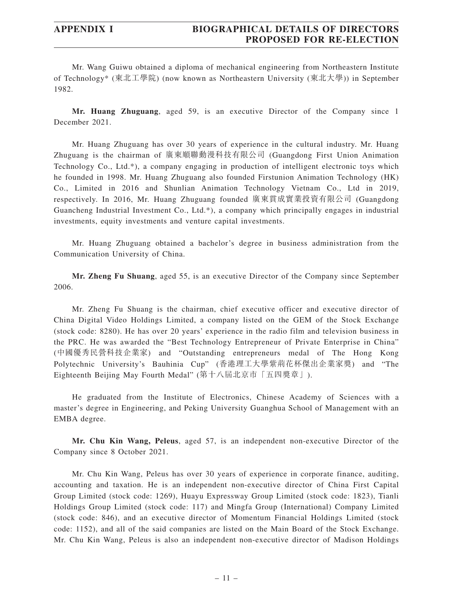Mr. Wang Guiwu obtained a diploma of mechanical engineering from Northeastern Institute of Technology\* (東北工學院) (now known as Northeastern University (東北大學)) in September 1982.

**Mr. Huang Zhuguang**, aged 59, is an executive Director of the Company since 1 December 2021.

Mr. Huang Zhuguang has over 30 years of experience in the cultural industry. Mr. Huang Zhuguang is the chairman of 廣東順聯動漫科技有限公司 (Guangdong First Union Animation Technology Co., Ltd.\*), a company engaging in production of intelligent electronic toys which he founded in 1998. Mr. Huang Zhuguang also founded Firstunion Animation Technology (HK) Co., Limited in 2016 and Shunlian Animation Technology Vietnam Co., Ltd in 2019, respectively. In 2016, Mr. Huang Zhuguang founded 廣東貫成實業投資有限公司 (Guangdong Guancheng Industrial Investment Co., Ltd.\*), a company which principally engages in industrial investments, equity investments and venture capital investments.

Mr. Huang Zhuguang obtained a bachelor's degree in business administration from the Communication University of China.

**Mr. Zheng Fu Shuang**, aged 55, is an executive Director of the Company since September 2006.

Mr. Zheng Fu Shuang is the chairman, chief executive officer and executive director of China Digital Video Holdings Limited, a company listed on the GEM of the Stock Exchange (stock code: 8280). He has over 20 years' experience in the radio film and television business in the PRC. He was awarded the "Best Technology Entrepreneur of Private Enterprise in China" (中國優秀民營科技企業家) and "Outstanding entrepreneurs medal of The Hong Kong Polytechnic University's Bauhinia Cup" (香港理工大學紫荊花杯傑出企業家獎) and "The Eighteenth Beijing May Fourth Medal" (第十八屆北京市「五四獎章」).

He graduated from the Institute of Electronics, Chinese Academy of Sciences with a master's degree in Engineering, and Peking University Guanghua School of Management with an EMBA degree.

**Mr. Chu Kin Wang, Peleus**, aged 57, is an independent non-executive Director of the Company since 8 October 2021.

Mr. Chu Kin Wang, Peleus has over 30 years of experience in corporate finance, auditing, accounting and taxation. He is an independent non-executive director of China First Capital Group Limited (stock code: 1269), Huayu Expressway Group Limited (stock code: 1823), Tianli Holdings Group Limited (stock code: 117) and Mingfa Group (International) Company Limited (stock code: 846), and an executive director of Momentum Financial Holdings Limited (stock code: 1152), and all of the said companies are listed on the Main Board of the Stock Exchange. Mr. Chu Kin Wang, Peleus is also an independent non-executive director of Madison Holdings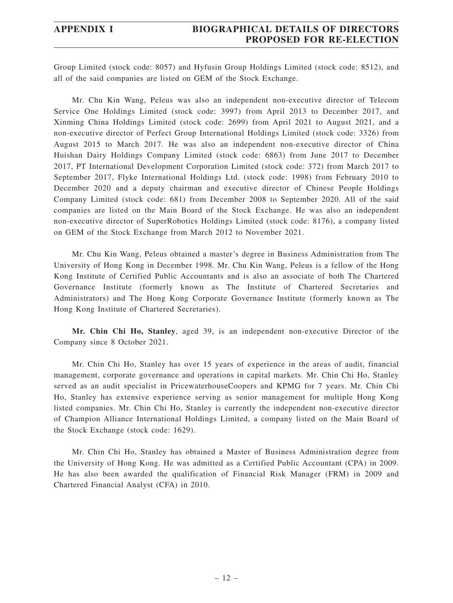## **APPENDIX I BIOGRAPHICAL DETAILS OF DIRECTORS PROPOSED FOR RE-ELECTION**

Group Limited (stock code: 8057) and Hyfusin Group Holdings Limited (stock code: 8512), and all of the said companies are listed on GEM of the Stock Exchange.

Mr. Chu Kin Wang, Peleus was also an independent non-executive director of Telecom Service One Holdings Limited (stock code: 3997) from April 2013 to December 2017, and Xinming China Holdings Limited (stock code: 2699) from April 2021 to August 2021, and a non-executive director of Perfect Group International Holdings Limited (stock code: 3326) from August 2015 to March 2017. He was also an independent non-executive director of China Huishan Dairy Holdings Company Limited (stock code: 6863) from June 2017 to December 2017, PT International Development Corporation Limited (stock code: 372) from March 2017 to September 2017, Flyke International Holdings Ltd. (stock code: 1998) from February 2010 to December 2020 and a deputy chairman and executive director of Chinese People Holdings Company Limited (stock code: 681) from December 2008 to September 2020. All of the said companies are listed on the Main Board of the Stock Exchange. He was also an independent non-executive director of SuperRobotics Holdings Limited (stock code: 8176), a company listed on GEM of the Stock Exchange from March 2012 to November 2021.

Mr. Chu Kin Wang, Peleus obtained a master's degree in Business Administration from The University of Hong Kong in December 1998. Mr. Chu Kin Wang, Peleus is a fellow of the Hong Kong Institute of Certified Public Accountants and is also an associate of both The Chartered Governance Institute (formerly known as The Institute of Chartered Secretaries and Administrators) and The Hong Kong Corporate Governance Institute (formerly known as The Hong Kong Institute of Chartered Secretaries).

**Mr. Chin Chi Ho, Stanley**, aged 39, is an independent non-executive Director of the Company since 8 October 2021.

Mr. Chin Chi Ho, Stanley has over 15 years of experience in the areas of audit, financial management, corporate governance and operations in capital markets. Mr. Chin Chi Ho, Stanley served as an audit specialist in PricewaterhouseCoopers and KPMG for 7 years. Mr. Chin Chi Ho, Stanley has extensive experience serving as senior management for multiple Hong Kong listed companies. Mr. Chin Chi Ho, Stanley is currently the independent non-executive director of Champion Alliance International Holdings Limited, a company listed on the Main Board of the Stock Exchange (stock code: 1629).

Mr. Chin Chi Ho, Stanley has obtained a Master of Business Administration degree from the University of Hong Kong. He was admitted as a Certified Public Accountant (CPA) in 2009. He has also been awarded the qualification of Financial Risk Manager (FRM) in 2009 and Chartered Financial Analyst (CFA) in 2010.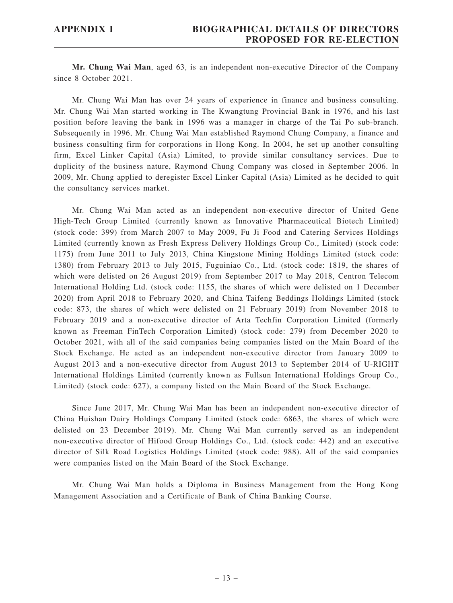## **APPENDIX I BIOGRAPHICAL DETAILS OF DIRECTORS PROPOSED FOR RE-ELECTION**

**Mr. Chung Wai Man**, aged 63, is an independent non-executive Director of the Company since 8 October 2021.

Mr. Chung Wai Man has over 24 years of experience in finance and business consulting. Mr. Chung Wai Man started working in The Kwangtung Provincial Bank in 1976, and his last position before leaving the bank in 1996 was a manager in charge of the Tai Po sub-branch. Subsequently in 1996, Mr. Chung Wai Man established Raymond Chung Company, a finance and business consulting firm for corporations in Hong Kong. In 2004, he set up another consulting firm, Excel Linker Capital (Asia) Limited, to provide similar consultancy services. Due to duplicity of the business nature, Raymond Chung Company was closed in September 2006. In 2009, Mr. Chung applied to deregister Excel Linker Capital (Asia) Limited as he decided to quit the consultancy services market.

Mr. Chung Wai Man acted as an independent non-executive director of United Gene High-Tech Group Limited (currently known as Innovative Pharmaceutical Biotech Limited) (stock code: 399) from March 2007 to May 2009, Fu Ji Food and Catering Services Holdings Limited (currently known as Fresh Express Delivery Holdings Group Co., Limited) (stock code: 1175) from June 2011 to July 2013, China Kingstone Mining Holdings Limited (stock code: 1380) from February 2013 to July 2015, Fuguiniao Co., Ltd. (stock code: 1819, the shares of which were delisted on 26 August 2019) from September 2017 to May 2018, Centron Telecom International Holding Ltd. (stock code: 1155, the shares of which were delisted on 1 December 2020) from April 2018 to February 2020, and China Taifeng Beddings Holdings Limited (stock code: 873, the shares of which were delisted on 21 February 2019) from November 2018 to February 2019 and a non-executive director of Arta Techfin Corporation Limited (formerly known as Freeman FinTech Corporation Limited) (stock code: 279) from December 2020 to October 2021, with all of the said companies being companies listed on the Main Board of the Stock Exchange. He acted as an independent non-executive director from January 2009 to August 2013 and a non-executive director from August 2013 to September 2014 of U-RIGHT International Holdings Limited (currently known as Fullsun International Holdings Group Co., Limited) (stock code: 627), a company listed on the Main Board of the Stock Exchange.

Since June 2017, Mr. Chung Wai Man has been an independent non-executive director of China Huishan Dairy Holdings Company Limited (stock code: 6863, the shares of which were delisted on 23 December 2019). Mr. Chung Wai Man currently served as an independent non-executive director of Hifood Group Holdings Co., Ltd. (stock code: 442) and an executive director of Silk Road Logistics Holdings Limited (stock code: 988). All of the said companies were companies listed on the Main Board of the Stock Exchange.

Mr. Chung Wai Man holds a Diploma in Business Management from the Hong Kong Management Association and a Certificate of Bank of China Banking Course.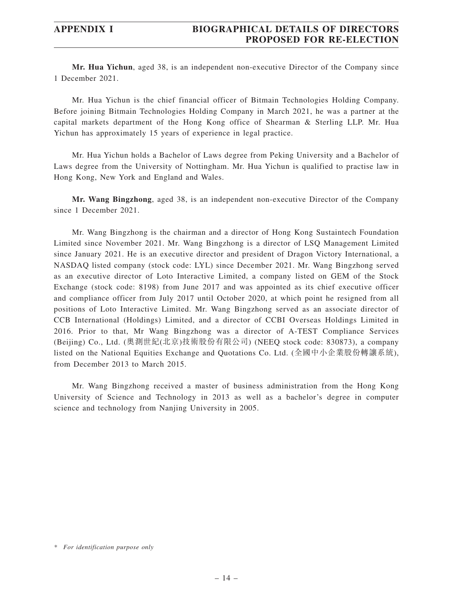**Mr. Hua Yichun**, aged 38, is an independent non-executive Director of the Company since 1 December 2021.

Mr. Hua Yichun is the chief financial officer of Bitmain Technologies Holding Company. Before joining Bitmain Technologies Holding Company in March 2021, he was a partner at the capital markets department of the Hong Kong office of Shearman & Sterling LLP. Mr. Hua Yichun has approximately 15 years of experience in legal practice.

Mr. Hua Yichun holds a Bachelor of Laws degree from Peking University and a Bachelor of Laws degree from the University of Nottingham. Mr. Hua Yichun is qualified to practise law in Hong Kong, New York and England and Wales.

**Mr. Wang Bingzhong**, aged 38, is an independent non-executive Director of the Company since 1 December 2021.

Mr. Wang Bingzhong is the chairman and a director of Hong Kong Sustaintech Foundation Limited since November 2021. Mr. Wang Bingzhong is a director of LSQ Management Limited since January 2021. He is an executive director and president of Dragon Victory International, a NASDAQ listed company (stock code: LYL) since December 2021. Mr. Wang Bingzhong served as an executive director of Loto Interactive Limited, a company listed on GEM of the Stock Exchange (stock code: 8198) from June 2017 and was appointed as its chief executive officer and compliance officer from July 2017 until October 2020, at which point he resigned from all positions of Loto Interactive Limited. Mr. Wang Bingzhong served as an associate director of CCB International (Holdings) Limited, and a director of CCBI Overseas Holdings Limited in 2016. Prior to that, Mr Wang Bingzhong was a director of A-TEST Compliance Services (Beijing) Co., Ltd. (奧測世紀(北京)技術股份有限公司) (NEEQ stock code: 830873), a company listed on the National Equities Exchange and Quotations Co. Ltd. (全國中小企業股份轉讓系統), from December 2013 to March 2015.

Mr. Wang Bingzhong received a master of business administration from the Hong Kong University of Science and Technology in 2013 as well as a bachelor's degree in computer science and technology from Nanjing University in 2005.

*<sup>\*</sup> For identification purpose only*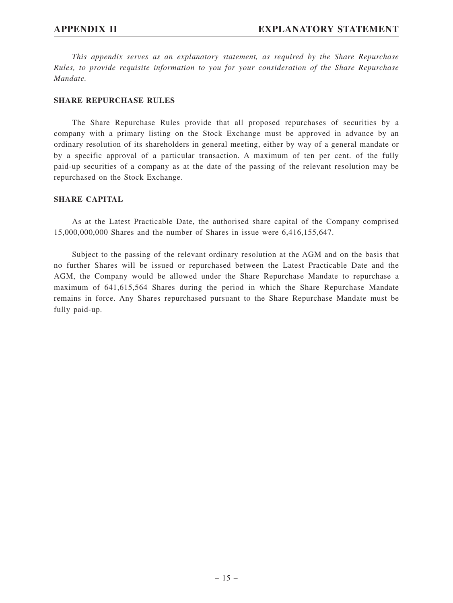*This appendix serves as an explanatory statement, as required by the Share Repurchase Rules, to provide requisite information to you for your consideration of the Share Repurchase Mandate.*

### **SHARE REPURCHASE RULES**

The Share Repurchase Rules provide that all proposed repurchases of securities by a company with a primary listing on the Stock Exchange must be approved in advance by an ordinary resolution of its shareholders in general meeting, either by way of a general mandate or by a specific approval of a particular transaction. A maximum of ten per cent. of the fully paid-up securities of a company as at the date of the passing of the relevant resolution may be repurchased on the Stock Exchange.

### **SHARE CAPITAL**

As at the Latest Practicable Date, the authorised share capital of the Company comprised 15,000,000,000 Shares and the number of Shares in issue were 6,416,155,647.

Subject to the passing of the relevant ordinary resolution at the AGM and on the basis that no further Shares will be issued or repurchased between the Latest Practicable Date and the AGM, the Company would be allowed under the Share Repurchase Mandate to repurchase a maximum of 641,615,564 Shares during the period in which the Share Repurchase Mandate remains in force. Any Shares repurchased pursuant to the Share Repurchase Mandate must be fully paid-up.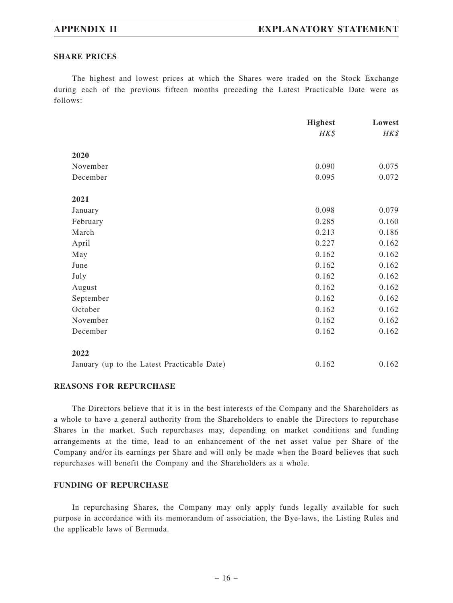### **SHARE PRICES**

The highest and lowest prices at which the Shares were traded on the Stock Exchange during each of the previous fifteen months preceding the Latest Practicable Date were as follows:

|                                             | <b>Highest</b> | Lowest |
|---------------------------------------------|----------------|--------|
|                                             | HK\$           | HK\$   |
| 2020                                        |                |        |
| November                                    | 0.090          | 0.075  |
| December                                    | 0.095          | 0.072  |
| 2021                                        |                |        |
| January                                     | 0.098          | 0.079  |
| February                                    | 0.285          | 0.160  |
| March                                       | 0.213          | 0.186  |
| April                                       | 0.227          | 0.162  |
| May                                         | 0.162          | 0.162  |
| June                                        | 0.162          | 0.162  |
| July                                        | 0.162          | 0.162  |
| August                                      | 0.162          | 0.162  |
| September                                   | 0.162          | 0.162  |
| October                                     | 0.162          | 0.162  |
| November                                    | 0.162          | 0.162  |
| December                                    | 0.162          | 0.162  |
| 2022                                        |                |        |
| January (up to the Latest Practicable Date) | 0.162          | 0.162  |

### **REASONS FOR REPURCHASE**

The Directors believe that it is in the best interests of the Company and the Shareholders as a whole to have a general authority from the Shareholders to enable the Directors to repurchase Shares in the market. Such repurchases may, depending on market conditions and funding arrangements at the time, lead to an enhancement of the net asset value per Share of the Company and/or its earnings per Share and will only be made when the Board believes that such repurchases will benefit the Company and the Shareholders as a whole.

### **FUNDING OF REPURCHASE**

In repurchasing Shares, the Company may only apply funds legally available for such purpose in accordance with its memorandum of association, the Bye-laws, the Listing Rules and the applicable laws of Bermuda.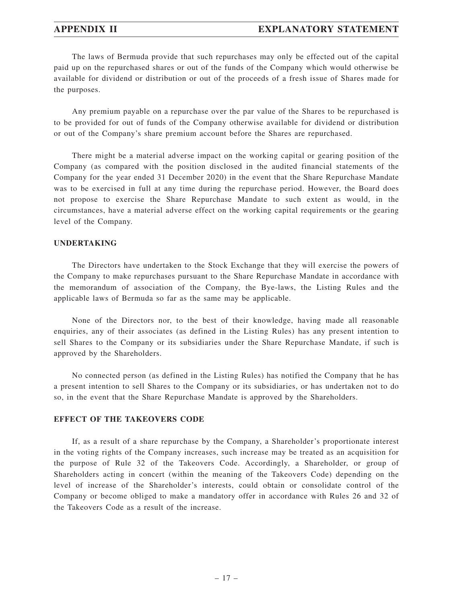## **APPENDIX II EXPLANATORY STATEMENT**

The laws of Bermuda provide that such repurchases may only be effected out of the capital paid up on the repurchased shares or out of the funds of the Company which would otherwise be available for dividend or distribution or out of the proceeds of a fresh issue of Shares made for the purposes.

Any premium payable on a repurchase over the par value of the Shares to be repurchased is to be provided for out of funds of the Company otherwise available for dividend or distribution or out of the Company's share premium account before the Shares are repurchased.

There might be a material adverse impact on the working capital or gearing position of the Company (as compared with the position disclosed in the audited financial statements of the Company for the year ended 31 December 2020) in the event that the Share Repurchase Mandate was to be exercised in full at any time during the repurchase period. However, the Board does not propose to exercise the Share Repurchase Mandate to such extent as would, in the circumstances, have a material adverse effect on the working capital requirements or the gearing level of the Company.

### **UNDERTAKING**

The Directors have undertaken to the Stock Exchange that they will exercise the powers of the Company to make repurchases pursuant to the Share Repurchase Mandate in accordance with the memorandum of association of the Company, the Bye-laws, the Listing Rules and the applicable laws of Bermuda so far as the same may be applicable.

None of the Directors nor, to the best of their knowledge, having made all reasonable enquiries, any of their associates (as defined in the Listing Rules) has any present intention to sell Shares to the Company or its subsidiaries under the Share Repurchase Mandate, if such is approved by the Shareholders.

No connected person (as defined in the Listing Rules) has notified the Company that he has a present intention to sell Shares to the Company or its subsidiaries, or has undertaken not to do so, in the event that the Share Repurchase Mandate is approved by the Shareholders.

### **EFFECT OF THE TAKEOVERS CODE**

If, as a result of a share repurchase by the Company, a Shareholder's proportionate interest in the voting rights of the Company increases, such increase may be treated as an acquisition for the purpose of Rule 32 of the Takeovers Code. Accordingly, a Shareholder, or group of Shareholders acting in concert (within the meaning of the Takeovers Code) depending on the level of increase of the Shareholder's interests, could obtain or consolidate control of the Company or become obliged to make a mandatory offer in accordance with Rules 26 and 32 of the Takeovers Code as a result of the increase.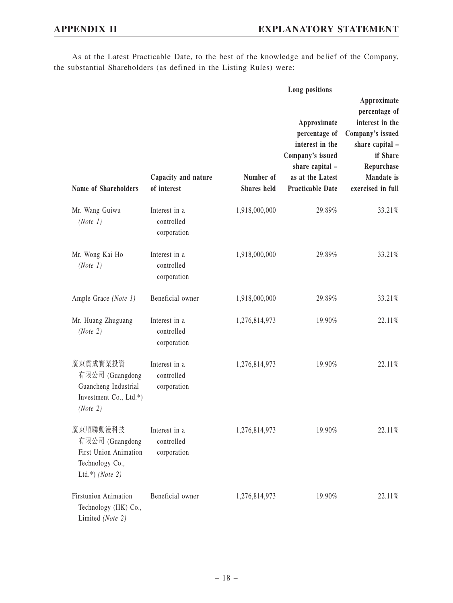As at the Latest Practicable Date, to the best of the knowledge and belief of the Company, the substantial Shareholders (as defined in the Listing Rules) were:

|                                                                                                   |                                            | Long positions                  |                                                                                                                                       |                                                                                                                                                            |
|---------------------------------------------------------------------------------------------------|--------------------------------------------|---------------------------------|---------------------------------------------------------------------------------------------------------------------------------------|------------------------------------------------------------------------------------------------------------------------------------------------------------|
| <b>Name of Shareholders</b>                                                                       | Capacity and nature<br>of interest         | Number of<br><b>Shares</b> held | Approximate<br>percentage of<br>interest in the<br>Company's issued<br>share capital -<br>as at the Latest<br><b>Practicable Date</b> | Approximate<br>percentage of<br>interest in the<br>Company's issued<br>share capital -<br>if Share<br>Repurchase<br><b>Mandate</b> is<br>exercised in full |
| Mr. Wang Guiwu<br>(Note 1)                                                                        | Interest in a<br>controlled<br>corporation | 1,918,000,000                   | 29.89%                                                                                                                                | 33.21%                                                                                                                                                     |
| Mr. Wong Kai Ho<br>(Note 1)                                                                       | Interest in a<br>controlled<br>corporation | 1,918,000,000                   | 29.89%                                                                                                                                | 33.21%                                                                                                                                                     |
| Ample Grace (Note 1)                                                                              | Beneficial owner                           | 1,918,000,000                   | 29.89%                                                                                                                                | 33.21%                                                                                                                                                     |
| Mr. Huang Zhuguang<br>(Note 2)                                                                    | Interest in a<br>controlled<br>corporation | 1,276,814,973                   | 19.90%                                                                                                                                | 22.11%                                                                                                                                                     |
| 廣東貫成實業投資<br>有限公司 (Guangdong<br>Guancheng Industrial<br>Investment Co., Ltd.*)<br>(Note 2)         | Interest in a<br>controlled<br>corporation | 1,276,814,973                   | 19.90%                                                                                                                                | 22.11%                                                                                                                                                     |
| 廣東順聯動漫科技<br>有限公司 (Guangdong<br><b>First Union Animation</b><br>Technology Co.,<br>Ltd.*) (Note 2) | Interest in a<br>controlled<br>corporation | 1,276,814,973                   | 19.90%                                                                                                                                | 22.11%                                                                                                                                                     |
| Firstunion Animation<br>Technology (HK) Co.,<br>Limited (Note 2)                                  | Beneficial owner                           | 1,276,814,973                   | 19.90%                                                                                                                                | 22.11%                                                                                                                                                     |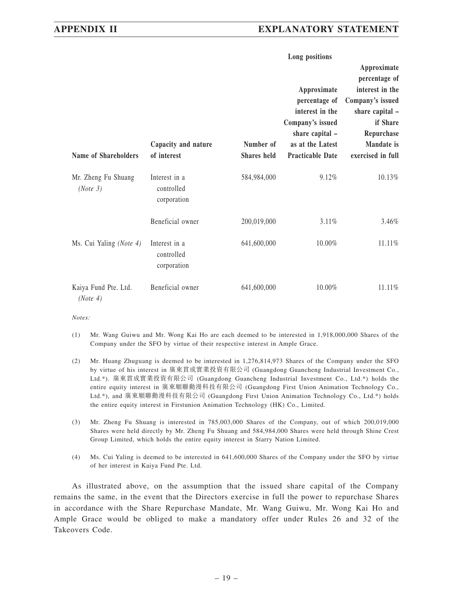## **APPENDIX II EXPLANATORY STATEMENT**

|                                  |                                            | Long positions           |                                                                                                                                       |                                                                                                                                                     |  |
|----------------------------------|--------------------------------------------|--------------------------|---------------------------------------------------------------------------------------------------------------------------------------|-----------------------------------------------------------------------------------------------------------------------------------------------------|--|
| Name of Shareholders             | Capacity and nature<br>of interest         | Number of<br>Shares held | Approximate<br>percentage of<br>interest in the<br>Company's issued<br>share capital -<br>as at the Latest<br><b>Practicable Date</b> | Approximate<br>percentage of<br>interest in the<br>Company's issued<br>share capital -<br>if Share<br>Repurchase<br>Mandate is<br>exercised in full |  |
| Mr. Zheng Fu Shuang<br>(Note 3)  | Interest in a<br>controlled<br>corporation | 584,984,000              | 9.12%                                                                                                                                 | 10.13%                                                                                                                                              |  |
|                                  | Beneficial owner                           | 200,019,000              | 3.11%                                                                                                                                 | 3.46%                                                                                                                                               |  |
| Ms. Cui Yaling (Note 4)          | Interest in a<br>controlled<br>corporation | 641,600,000              | 10.00%                                                                                                                                | 11.11%                                                                                                                                              |  |
| Kaiya Fund Pte. Ltd.<br>(Note 4) | Beneficial owner                           | 641,600,000              | $10.00\%$                                                                                                                             | 11.11%                                                                                                                                              |  |

*Notes:*

- (1) Mr. Wang Guiwu and Mr. Wong Kai Ho are each deemed to be interested in 1,918,000,000 Shares of the Company under the SFO by virtue of their respective interest in Ample Grace.
- (2) Mr. Huang Zhuguang is deemed to be interested in 1,276,814,973 Shares of the Company under the SFO by virtue of his interest in 廣東貫成實業投資有限公司 (Guangdong Guancheng Industrial Investment Co., Ltd.\*). 廣東貫成實業投資有限公司 (Guangdong Guancheng Industrial Investment Co., Ltd.\*) holds the entire equity interest in 廣東順聯動漫科技有限公司 (Guangdong First Union Animation Technology Co., Ltd.\*), and 廣東順聯動漫科技有限公司 (Guangdong First Union Animation Technology Co., Ltd.\*) holds the entire equity interest in Firstunion Animation Technology (HK) Co., Limited.
- (3) Mr. Zheng Fu Shuang is interested in 785,003,000 Shares of the Company, out of which 200,019,000 Shares were held directly by Mr. Zheng Fu Shuang and 584,984,000 Shares were held through Shine Crest Group Limited, which holds the entire equity interest in Starry Nation Limited.
- (4) Ms. Cui Yaling is deemed to be interested in 641,600,000 Shares of the Company under the SFO by virtue of her interest in Kaiya Fund Pte. Ltd.

As illustrated above, on the assumption that the issued share capital of the Company remains the same, in the event that the Directors exercise in full the power to repurchase Shares in accordance with the Share Repurchase Mandate, Mr. Wang Guiwu, Mr. Wong Kai Ho and Ample Grace would be obliged to make a mandatory offer under Rules 26 and 32 of the Takeovers Code.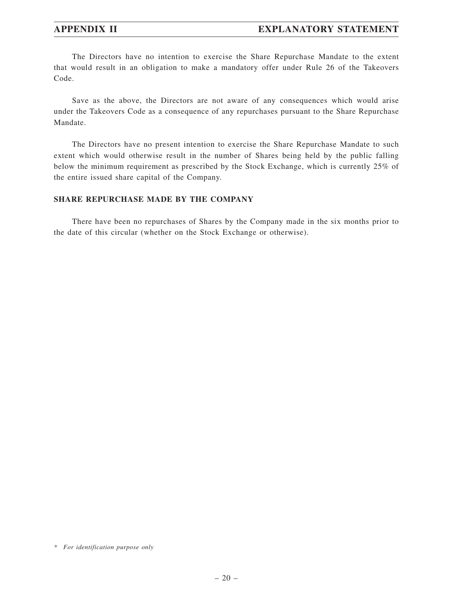## **APPENDIX II EXPLANATORY STATEMENT**

The Directors have no intention to exercise the Share Repurchase Mandate to the extent that would result in an obligation to make a mandatory offer under Rule 26 of the Takeovers Code.

Save as the above, the Directors are not aware of any consequences which would arise under the Takeovers Code as a consequence of any repurchases pursuant to the Share Repurchase Mandate.

The Directors have no present intention to exercise the Share Repurchase Mandate to such extent which would otherwise result in the number of Shares being held by the public falling below the minimum requirement as prescribed by the Stock Exchange, which is currently 25% of the entire issued share capital of the Company.

## **SHARE REPURCHASE MADE BY THE COMPANY**

There have been no repurchases of Shares by the Company made in the six months prior to the date of this circular (whether on the Stock Exchange or otherwise).

*<sup>\*</sup> For identification purpose only*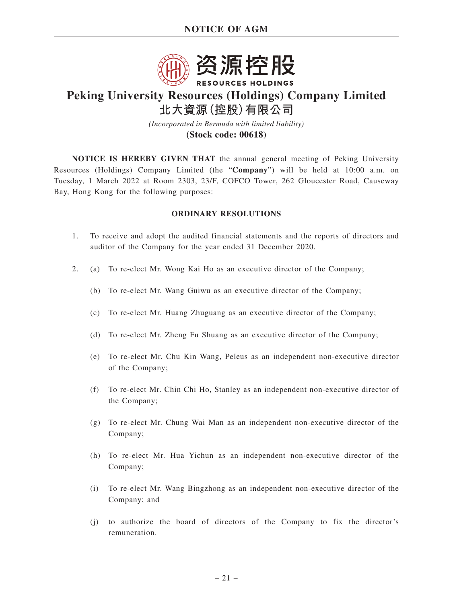

# **Peking University Resources (Holdings) Company Limited 北大資源(控股)有限公司**

*(Incorporated in Bermuda with limited liability)* **(Stock code: 00618)**

**NOTICE IS HEREBY GIVEN THAT** the annual general meeting of Peking University Resources (Holdings) Company Limited (the "**Company**") will be held at 10:00 a.m. on Tuesday, 1 March 2022 at Room 2303, 23/F, COFCO Tower, 262 Gloucester Road, Causeway Bay, Hong Kong for the following purposes:

### **ORDINARY RESOLUTIONS**

- 1. To receive and adopt the audited financial statements and the reports of directors and auditor of the Company for the year ended 31 December 2020.
- 2. (a) To re-elect Mr. Wong Kai Ho as an executive director of the Company;
	- (b) To re-elect Mr. Wang Guiwu as an executive director of the Company;
	- (c) To re-elect Mr. Huang Zhuguang as an executive director of the Company;
	- (d) To re-elect Mr. Zheng Fu Shuang as an executive director of the Company;
	- (e) To re-elect Mr. Chu Kin Wang, Peleus as an independent non-executive director of the Company;
	- (f) To re-elect Mr. Chin Chi Ho, Stanley as an independent non-executive director of the Company;
	- (g) To re-elect Mr. Chung Wai Man as an independent non-executive director of the Company;
	- (h) To re-elect Mr. Hua Yichun as an independent non-executive director of the Company;
	- (i) To re-elect Mr. Wang Bingzhong as an independent non-executive director of the Company; and
	- (j) to authorize the board of directors of the Company to fix the director's remuneration.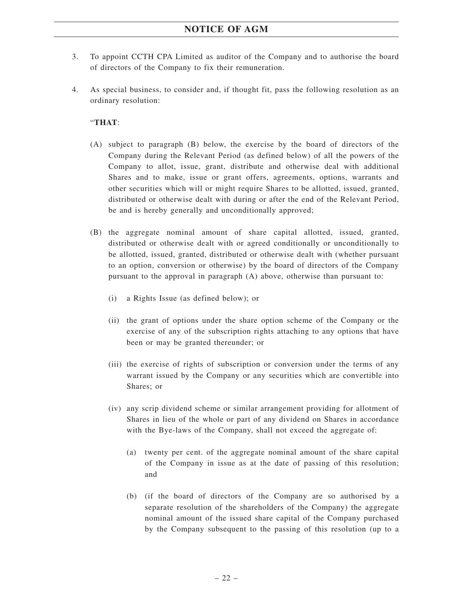- 3. To appoint CCTH CPA Limited as auditor of the Company and to authorise the board of directors of the Company to fix their remuneration.
- 4. As special business, to consider and, if thought fit, pass the following resolution as an ordinary resolution:

## "**THAT**:

- (A) subject to paragraph (B) below, the exercise by the board of directors of the Company during the Relevant Period (as defined below) of all the powers of the Company to allot, issue, grant, distribute and otherwise deal with additional Shares and to make, issue or grant offers, agreements, options, warrants and other securities which will or might require Shares to be allotted, issued, granted, distributed or otherwise dealt with during or after the end of the Relevant Period, be and is hereby generally and unconditionally approved;
- (B) the aggregate nominal amount of share capital allotted, issued, granted, distributed or otherwise dealt with or agreed conditionally or unconditionally to be allotted, issued, granted, distributed or otherwise dealt with (whether pursuant to an option, conversion or otherwise) by the board of directors of the Company pursuant to the approval in paragraph (A) above, otherwise than pursuant to:
	- (i) a Rights Issue (as defined below); or
	- (ii) the grant of options under the share option scheme of the Company or the exercise of any of the subscription rights attaching to any options that have been or may be granted thereunder; or
	- (iii) the exercise of rights of subscription or conversion under the terms of any warrant issued by the Company or any securities which are convertible into Shares; or
	- (iv) any scrip dividend scheme or similar arrangement providing for allotment of Shares in lieu of the whole or part of any dividend on Shares in accordance with the Bye-laws of the Company, shall not exceed the aggregate of:
		- (a) twenty per cent. of the aggregate nominal amount of the share capital of the Company in issue as at the date of passing of this resolution; and
		- (b) (if the board of directors of the Company are so authorised by a separate resolution of the shareholders of the Company) the aggregate nominal amount of the issued share capital of the Company purchased by the Company subsequent to the passing of this resolution (up to a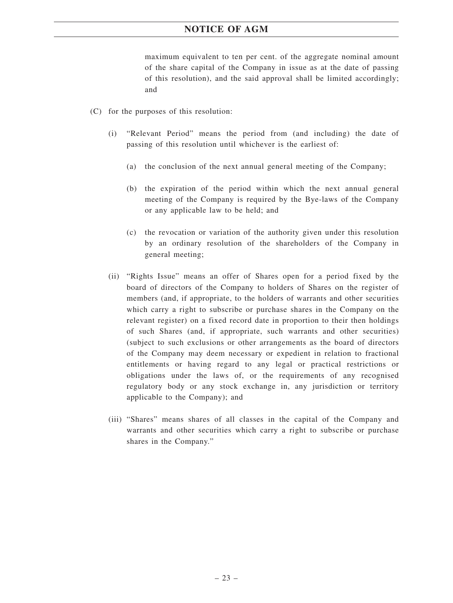maximum equivalent to ten per cent. of the aggregate nominal amount of the share capital of the Company in issue as at the date of passing of this resolution), and the said approval shall be limited accordingly; and

- (C) for the purposes of this resolution:
	- (i) "Relevant Period" means the period from (and including) the date of passing of this resolution until whichever is the earliest of:
		- (a) the conclusion of the next annual general meeting of the Company;
		- (b) the expiration of the period within which the next annual general meeting of the Company is required by the Bye-laws of the Company or any applicable law to be held; and
		- (c) the revocation or variation of the authority given under this resolution by an ordinary resolution of the shareholders of the Company in general meeting;
	- (ii) "Rights Issue" means an offer of Shares open for a period fixed by the board of directors of the Company to holders of Shares on the register of members (and, if appropriate, to the holders of warrants and other securities which carry a right to subscribe or purchase shares in the Company on the relevant register) on a fixed record date in proportion to their then holdings of such Shares (and, if appropriate, such warrants and other securities) (subject to such exclusions or other arrangements as the board of directors of the Company may deem necessary or expedient in relation to fractional entitlements or having regard to any legal or practical restrictions or obligations under the laws of, or the requirements of any recognised regulatory body or any stock exchange in, any jurisdiction or territory applicable to the Company); and
	- (iii) "Shares" means shares of all classes in the capital of the Company and warrants and other securities which carry a right to subscribe or purchase shares in the Company."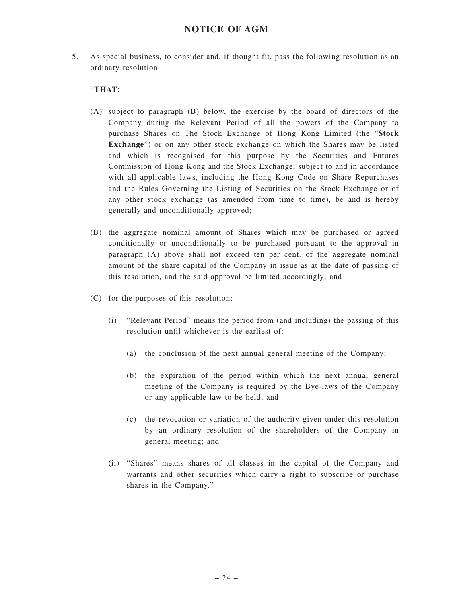5. As special business, to consider and, if thought fit, pass the following resolution as an ordinary resolution:

## "**THAT**:

- (A) subject to paragraph (B) below, the exercise by the board of directors of the Company during the Relevant Period of all the powers of the Company to purchase Shares on The Stock Exchange of Hong Kong Limited (the "**Stock Exchange**") or on any other stock exchange on which the Shares may be listed and which is recognised for this purpose by the Securities and Futures Commission of Hong Kong and the Stock Exchange, subject to and in accordance with all applicable laws, including the Hong Kong Code on Share Repurchases and the Rules Governing the Listing of Securities on the Stock Exchange or of any other stock exchange (as amended from time to time), be and is hereby generally and unconditionally approved;
- (B) the aggregate nominal amount of Shares which may be purchased or agreed conditionally or unconditionally to be purchased pursuant to the approval in paragraph (A) above shall not exceed ten per cent. of the aggregate nominal amount of the share capital of the Company in issue as at the date of passing of this resolution, and the said approval be limited accordingly; and
- (C) for the purposes of this resolution:
	- (i) "Relevant Period" means the period from (and including) the passing of this resolution until whichever is the earliest of:
		- (a) the conclusion of the next annual general meeting of the Company;
		- (b) the expiration of the period within which the next annual general meeting of the Company is required by the Bye-laws of the Company or any applicable law to be held; and
		- (c) the revocation or variation of the authority given under this resolution by an ordinary resolution of the shareholders of the Company in general meeting; and
	- (ii) "Shares" means shares of all classes in the capital of the Company and warrants and other securities which carry a right to subscribe or purchase shares in the Company."